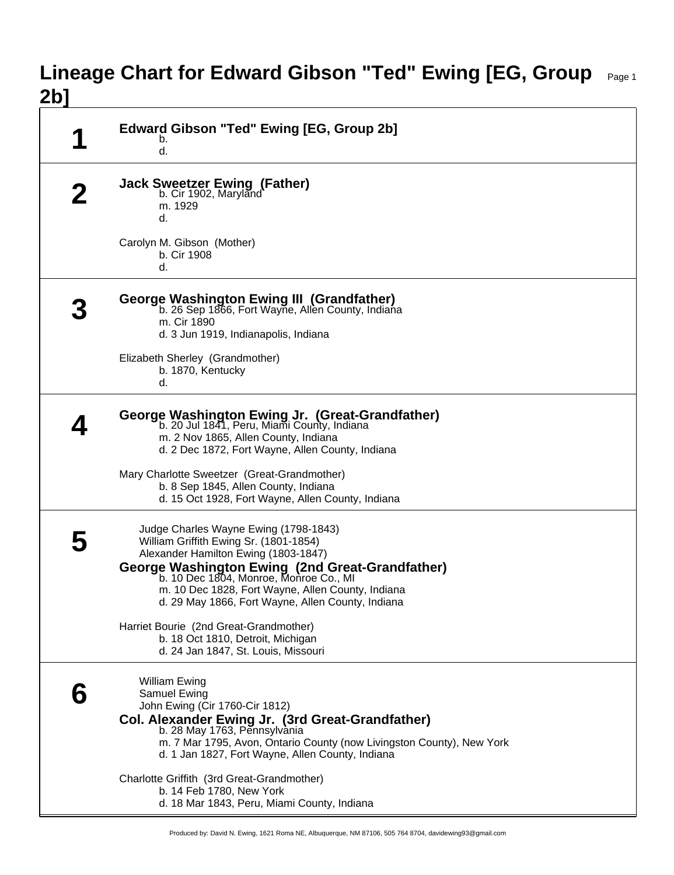## **Lineage Chart for Edward Gibson "Ted" Ewing [EG, Group** Page 1 **2b]**

| q | Edward Gibson "Ted" Ewing [EG, Group 2b]<br>b.<br>d.                                                                                                                                                                                                                                                                           |
|---|--------------------------------------------------------------------------------------------------------------------------------------------------------------------------------------------------------------------------------------------------------------------------------------------------------------------------------|
|   | <b>Jack Sweetzer Ewing (Father)</b><br>b. Cir 1902, Maryland<br>m. 1929<br>d.                                                                                                                                                                                                                                                  |
|   | Carolyn M. Gibson (Mother)<br>b. Cir 1908<br>d.                                                                                                                                                                                                                                                                                |
|   | George Washington Ewing III (Grandfather)<br>b. 26 Sep 1866, Fort Wayne, Allen County, Indiana<br>m. Cir 1890<br>d. 3 Jun 1919, Indianapolis, Indiana                                                                                                                                                                          |
|   | Elizabeth Sherley (Grandmother)<br>b. 1870, Kentucky<br>d.                                                                                                                                                                                                                                                                     |
|   | George Washington Ewing Jr. (Great-Grandfather)<br>b. 20 Jul 1841, Peru, Miami County, Indiana<br>m. 2 Nov 1865, Allen County, Indiana<br>d. 2 Dec 1872, Fort Wayne, Allen County, Indiana                                                                                                                                     |
|   | Mary Charlotte Sweetzer (Great-Grandmother)<br>b. 8 Sep 1845, Allen County, Indiana<br>d. 15 Oct 1928, Fort Wayne, Allen County, Indiana                                                                                                                                                                                       |
|   | Judge Charles Wayne Ewing (1798-1843)<br>William Griffith Ewing Sr. (1801-1854)<br>Alexander Hamilton Ewing (1803-1847)<br>George Washington Ewing (2nd Great-Grandfather)<br>b. 10 Dec 1804, Monroe, Monroe Co., MI<br>m. 10 Dec 1828, Fort Wayne, Allen County, Indiana<br>d. 29 May 1866, Fort Wayne, Allen County, Indiana |
|   | Harriet Bourie (2nd Great-Grandmother)<br>b. 18 Oct 1810, Detroit, Michigan<br>d. 24 Jan 1847, St. Louis, Missouri                                                                                                                                                                                                             |
|   | <b>William Ewing</b><br>Samuel Ewing<br>John Ewing (Cir 1760-Cir 1812)<br>Col. Alexander Ewing Jr. (3rd Great-Grandfather)<br>b. 28 May 1763, Pennsylvania<br>m. 7 Mar 1795, Avon, Ontario County (now Livingston County), New York<br>d. 1 Jan 1827, Fort Wayne, Allen County, Indiana                                        |
|   | Charlotte Griffith (3rd Great-Grandmother)<br>b. 14 Feb 1780, New York<br>d. 18 Mar 1843, Peru, Miami County, Indiana                                                                                                                                                                                                          |